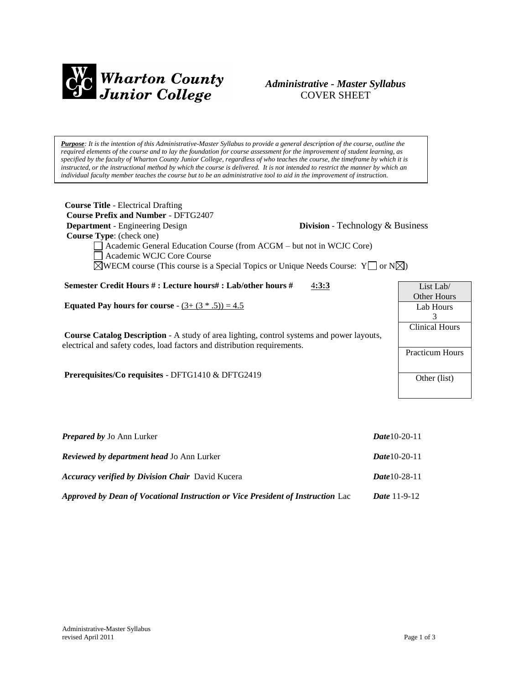

# *Administrative - Master Syllabus*  COVER SHEET

*Purpose: It is the intention of this Administrative-Master Syllabus to provide a general description of the course, outline the required elements of the course and to lay the foundation for course assessment for the improvement of student learning, as specified by the faculty of Wharton County Junior College, regardless of who teaches the course, the timeframe by which it is instructed, or the instructional method by which the course is delivered. It is not intended to restrict the manner by which an individual faculty member teaches the course but to be an administrative tool to aid in the improvement of instruction.*

| <b>Course Title - Electrical Drafting</b>                                                             |                                         |                        |  |
|-------------------------------------------------------------------------------------------------------|-----------------------------------------|------------------------|--|
| <b>Course Prefix and Number - DFTG2407</b>                                                            |                                         |                        |  |
| <b>Department</b> - Engineering Design                                                                | <b>Division</b> - Technology & Business |                        |  |
| <b>Course Type:</b> (check one)                                                                       |                                         |                        |  |
| Academic General Education Course (from ACGM – but not in WCJC Core)                                  |                                         |                        |  |
| Academic WCJC Core Course                                                                             |                                         |                        |  |
| $\boxtimes$ WECM course (This course is a Special Topics or Unique Needs Course: Y or N $\boxtimes$ ) |                                         |                        |  |
|                                                                                                       |                                         |                        |  |
| Semester Credit Hours # : Lecture hours# : Lab/other hours #                                          | 4:3:3                                   | List Lab $\ell$        |  |
|                                                                                                       |                                         | <b>Other Hours</b>     |  |
| <b>Equated Pay hours for course</b> - $(3 + (3 * .5)) = 4.5$                                          |                                         | Lab Hours              |  |
|                                                                                                       |                                         | 3                      |  |
|                                                                                                       |                                         | <b>Clinical Hours</b>  |  |
| <b>Course Catalog Description</b> - A study of area lighting, control systems and power layouts,      |                                         |                        |  |
| electrical and safety codes, load factors and distribution requirements.                              |                                         |                        |  |
|                                                                                                       |                                         | <b>Practicum Hours</b> |  |

**Prerequisites/Co requisites** - DFTG1410 & DFTG2419

| <b>Prepared by Jo Ann Lurker</b>                                                | <b>Date</b> 10-20-11  |
|---------------------------------------------------------------------------------|-----------------------|
| <b>Reviewed by department head Jo Ann Lurker</b>                                | <b>Date</b> 10-20-11  |
| <b>Accuracy verified by Division Chair</b> David Kucera                         | <i>Date</i> 10-28-11  |
| Approved by Dean of Vocational Instruction or Vice President of Instruction Lac | <i>Date</i> $11-9-12$ |

Other (list)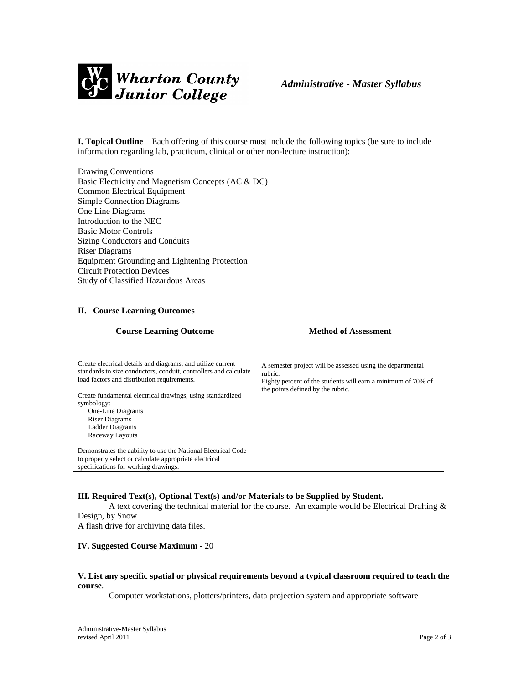

**I. Topical Outline** – Each offering of this course must include the following topics (be sure to include information regarding lab, practicum, clinical or other non-lecture instruction):

Drawing Conventions Basic Electricity and Magnetism Concepts (AC & DC) Common Electrical Equipment Simple Connection Diagrams One Line Diagrams Introduction to the NEC Basic Motor Controls Sizing Conductors and Conduits Riser Diagrams Equipment Grounding and Lightening Protection Circuit Protection Devices Study of Classified Hazardous Areas

## **II. Course Learning Outcomes**

| <b>Course Learning Outcome</b>                                                                                                                                                                                                                                                                                                                 | <b>Method of Assessment</b>                                                                                                                                                |  |  |
|------------------------------------------------------------------------------------------------------------------------------------------------------------------------------------------------------------------------------------------------------------------------------------------------------------------------------------------------|----------------------------------------------------------------------------------------------------------------------------------------------------------------------------|--|--|
| Create electrical details and diagrams; and utilize current<br>standards to size conductors, conduit, controllers and calculate<br>load factors and distribution requirements.<br>Create fundamental electrical drawings, using standardized<br>symbology:<br>One-Line Diagrams<br><b>Riser Diagrams</b><br>Ladder Diagrams<br>Raceway Layouts | A semester project will be assessed using the departmental<br>rubric.<br>Eighty percent of the students will earn a minimum of 70% of<br>the points defined by the rubric. |  |  |
| Demonstrates the aability to use the National Electrical Code                                                                                                                                                                                                                                                                                  |                                                                                                                                                                            |  |  |
| to properly select or calculate appropriate electrical                                                                                                                                                                                                                                                                                         |                                                                                                                                                                            |  |  |
| specifications for working drawings.                                                                                                                                                                                                                                                                                                           |                                                                                                                                                                            |  |  |

### **III. Required Text(s), Optional Text(s) and/or Materials to be Supplied by Student.**

A text covering the technical material for the course. An example would be Electrical Drafting  $\&$ Design, by Snow

A flash drive for archiving data files.

### **IV. Suggested Course Maximum** - 20

### **V. List any specific spatial or physical requirements beyond a typical classroom required to teach the course**.

Computer workstations, plotters/printers, data projection system and appropriate software